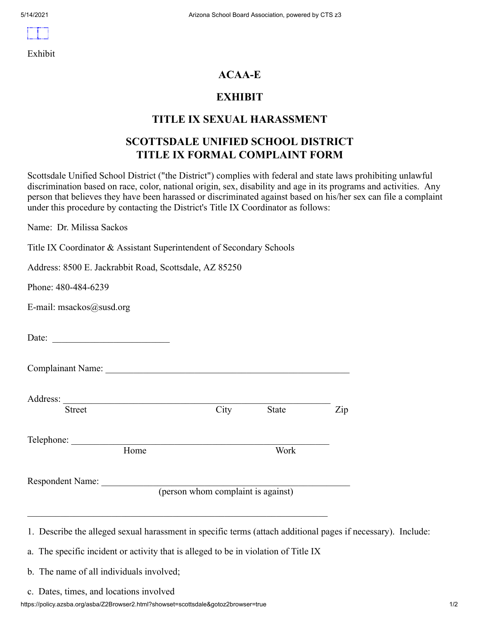Exhibit

### **ACAA-E**

#### **EXHIBIT**

#### **TITLE IX SEXUAL HARASSMENT**

### **SCOTTSDALE UNIFIED SCHOOL DISTRICT TITLE IX FORMAL COMPLAINT FORM**

Scottsdale Unified School District ("the District") complies with federal and state laws prohibiting unlawful discrimination based on race, color, national origin, sex, disability and age in its programs and activities. Any person that believes they have been harassed or discriminated against based on his/her sex can file a complaint under this procedure by contacting the District's Title IX Coordinator as follows:

Name: Dr. Milissa Sackos

Title IX Coordinator & Assistant Superintendent of Secondary Schools

Address: 8500 E. Jackrabbit Road, Scottsdale, AZ 85250

Phone: 480-484-6239

E-mail: msackos@susd.org

Date: \_\_\_\_\_\_\_\_\_\_\_\_\_\_\_\_\_\_\_\_\_\_\_\_\_

Complainant Name:

Address:  $\frac{1}{\text{Street}}$ Street City State Zip

Telephone:

Home Work

Respondent Name:

(person whom complaint is against)

1. Describe the alleged sexual harassment in specific terms (attach additional pages if necessary). Include:

a. The specific incident or activity that is alleged to be in violation of Title IX

b. The name of all individuals involved;

c. Dates, times, and locations involved

https://policy.azsba.org/asba/Z2Browser2.html?showset=scottsdale&gotoz2browser=true 1/2